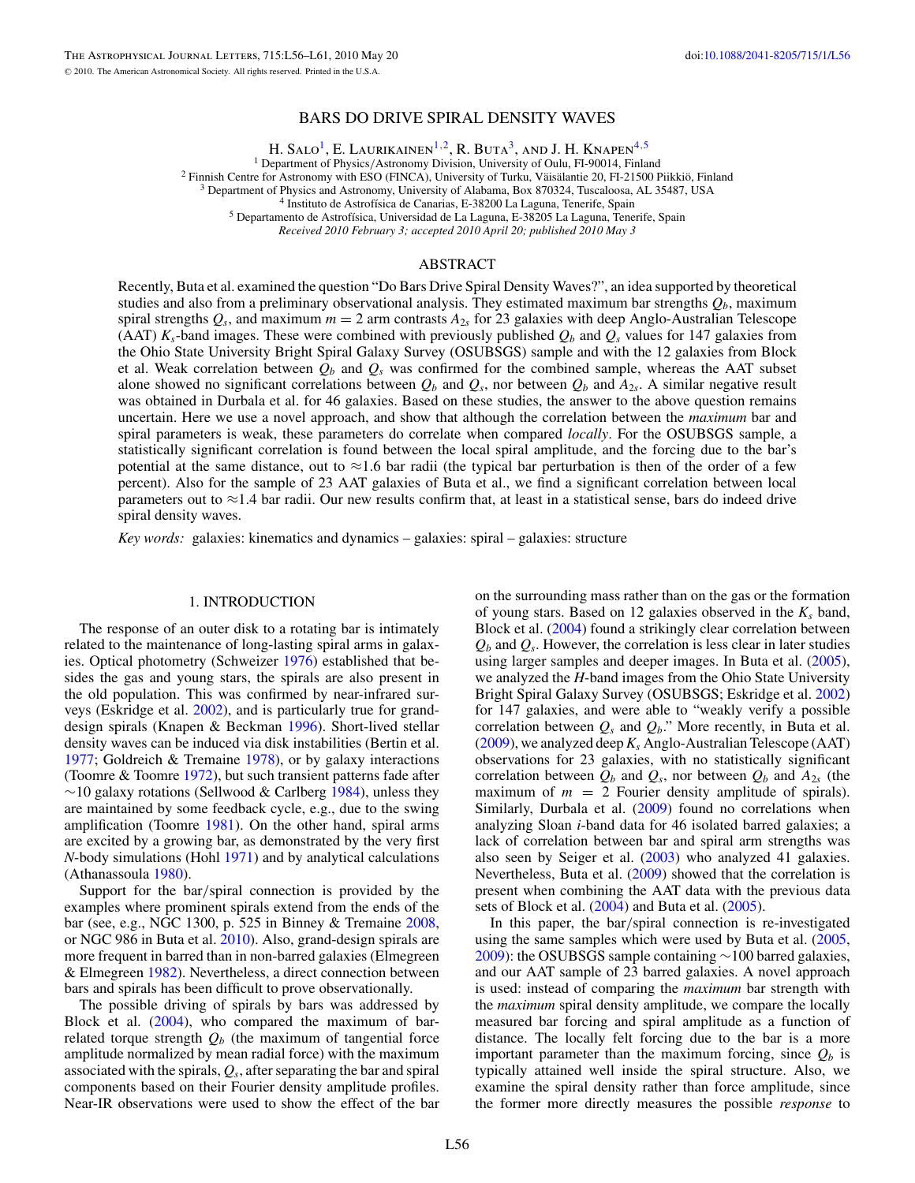### BARS DO DRIVE SPIRAL DENSITY WAVES

H. Salo<sup>1</sup>, E. Laurikainen<sup>1,2</sup>, R. Buta<sup>3</sup>, and J. H. Knapen<sup>4,5</sup>

<sup>1</sup> Department of Physics/Astronomy Division, University of Oulu, FI-90014, Finland<br><sup>2</sup> Finnish Centre for Astronomy with ESO (FINCA), University of Turku, Väisälantie 20, FI-21500 Piikkiö, Finland<br><sup>3</sup> Department of Physi

*Received 2010 February 3; accepted 2010 April 20; published 2010 May 3*

# ABSTRACT

Recently, Buta et al. examined the question "Do Bars Drive Spiral Density Waves?", an idea supported by theoretical studies and also from a preliminary observational analysis. They estimated maximum bar strengths  $Q_b$ , maximum spiral strengths  $Q_s$ , and maximum  $m = 2$  arm contrasts  $A_{2s}$  for 23 galaxies with deep Anglo-Australian Telescope (AAT)  $K_s$ -band images. These were combined with previously published  $Q_b$  and  $Q_s$  values for 147 galaxies from the Ohio State University Bright Spiral Galaxy Survey (OSUBSGS) sample and with the 12 galaxies from Block et al. Weak correlation between  $Q_b$  and  $Q_s$  was confirmed for the combined sample, whereas the AAT subset alone showed no significant correlations between  $Q_b$  and  $Q_s$ , nor between  $Q_b$  and  $A_{2s}$ . A similar negative result was obtained in Durbala et al. for 46 galaxies. Based on these studies, the answer to the above question remains uncertain. Here we use a novel approach, and show that although the correlation between the *maximum* bar and spiral parameters is weak, these parameters do correlate when compared *locally*. For the OSUBSGS sample, a statistically significant correlation is found between the local spiral amplitude, and the forcing due to the bar's potential at the same distance, out to  $\approx$ 1.6 bar radii (the typical bar perturbation is then of the order of a few percent). Also for the sample of 23 AAT galaxies of Buta et al., we find a significant correlation between local parameters out to  $\approx$ 1.4 bar radii. Our new results confirm that, at least in a statistical sense, bars do indeed drive spiral density waves.

*Key words:* galaxies: kinematics and dynamics – galaxies: spiral – galaxies: structure

#### 1. INTRODUCTION

The response of an outer disk to a rotating bar is intimately related to the maintenance of long-lasting spiral arms in galaxies. Optical photometry (Schweizer [1976\)](#page-5-0) established that besides the gas and young stars, the spirals are also present in the old population. This was confirmed by near-infrared surveys (Eskridge et al. [2002\)](#page-5-0), and is particularly true for granddesign spirals (Knapen & Beckman [1996\)](#page-5-0). Short-lived stellar density waves can be induced via disk instabilities (Bertin et al. [1977;](#page-4-0) Goldreich & Tremaine [1978\)](#page-5-0), or by galaxy interactions (Toomre & Toomre [1972\)](#page-5-0), but such transient patterns fade after  $\sim$ 10 galaxy rotations (Sellwood & Carlberg [1984\)](#page-5-0), unless they are maintained by some feedback cycle, e.g., due to the swing amplification (Toomre [1981\)](#page-5-0). On the other hand, spiral arms are excited by a growing bar, as demonstrated by the very first *N*-body simulations (Hohl [1971\)](#page-5-0) and by analytical calculations (Athanassoula [1980\)](#page-4-0).

Support for the bar*/*spiral connection is provided by the examples where prominent spirals extend from the ends of the bar (see, e.g., NGC 1300, p. 525 in Binney & Tremaine [2008,](#page-4-0) or NGC 986 in Buta et al. [2010\)](#page-4-0). Also, grand-design spirals are more frequent in barred than in non-barred galaxies (Elmegreen & Elmegreen [1982\)](#page-5-0). Nevertheless, a direct connection between bars and spirals has been difficult to prove observationally.

The possible driving of spirals by bars was addressed by Block et al. [\(2004\)](#page-4-0), who compared the maximum of barrelated torque strength  $Q_b$  (the maximum of tangential force amplitude normalized by mean radial force) with the maximum associated with the spirals, *Qs*, after separating the bar and spiral components based on their Fourier density amplitude profiles. Near-IR observations were used to show the effect of the bar on the surrounding mass rather than on the gas or the formation of young stars. Based on 12 galaxies observed in the *Ks* band, Block et al. [\(2004\)](#page-4-0) found a strikingly clear correlation between  $Q_b$  and  $Q_s$ . However, the correlation is less clear in later studies using larger samples and deeper images. In Buta et al. [\(2005\)](#page-4-0), we analyzed the *H*-band images from the Ohio State University Bright Spiral Galaxy Survey (OSUBSGS; Eskridge et al. [2002\)](#page-5-0) for 147 galaxies, and were able to "weakly verify a possible correlation between  $Q_s$  and  $Q_b$ ." More recently, in Buta et al.  $(2009)$ , we analyzed deep  $K_s$  Anglo-Australian Telescope (AAT) observations for 23 galaxies, with no statistically significant correlation between  $Q_b$  and  $Q_s$ , nor between  $Q_b$  and  $A_{2s}$  (the maximum of  $m = 2$  Fourier density amplitude of spirals). Similarly, Durbala et al. [\(2009\)](#page-4-0) found no correlations when analyzing Sloan *i*-band data for 46 isolated barred galaxies; a lack of correlation between bar and spiral arm strengths was also seen by Seiger et al. [\(2003\)](#page-5-0) who analyzed 41 galaxies. Nevertheless, Buta et al. [\(2009\)](#page-4-0) showed that the correlation is present when combining the AAT data with the previous data sets of Block et al.  $(2004)$  and Buta et al.  $(2005)$ .

In this paper, the bar*/*spiral connection is re-investigated using the same samples which were used by Buta et al. [\(2005,](#page-4-0) [2009\)](#page-4-0): the OSUBSGS sample containing ∼100 barred galaxies, and our AAT sample of 23 barred galaxies. A novel approach is used: instead of comparing the *maximum* bar strength with the *maximum* spiral density amplitude, we compare the locally measured bar forcing and spiral amplitude as a function of distance. The locally felt forcing due to the bar is a more important parameter than the maximum forcing, since  $Q_b$  is typically attained well inside the spiral structure. Also, we examine the spiral density rather than force amplitude, since the former more directly measures the possible *response* to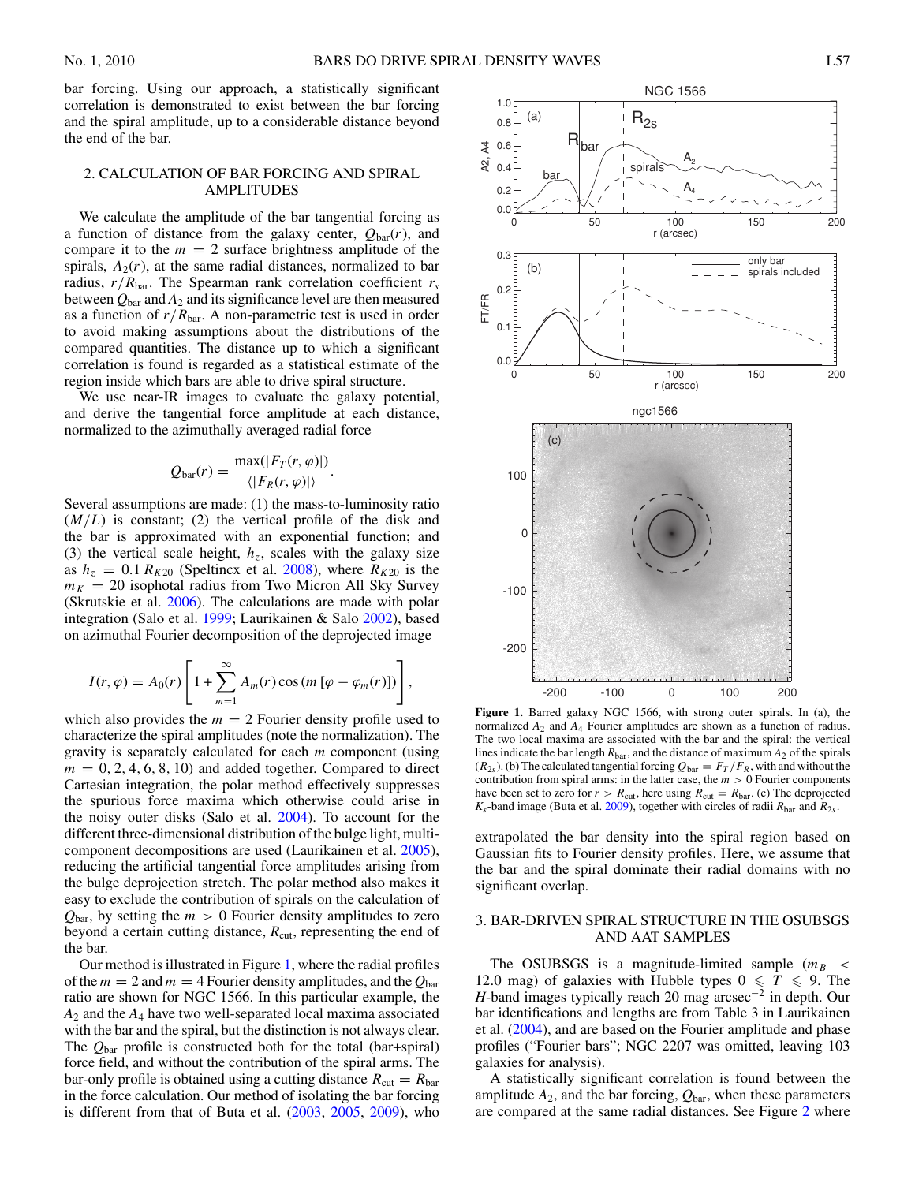<span id="page-1-0"></span>bar forcing. Using our approach, a statistically significant correlation is demonstrated to exist between the bar forcing and the spiral amplitude, up to a considerable distance beyond the end of the bar.

### 2. CALCULATION OF BAR FORCING AND SPIRAL AMPLITUDES

We calculate the amplitude of the bar tangential forcing as a function of distance from the galaxy center,  $Q_{\text{bar}}(r)$ , and compare it to the  $m = 2$  surface brightness amplitude of the spirals,  $A_2(r)$ , at the same radial distances, normalized to bar radius,  $r/R_{\text{bar}}$ . The Spearman rank correlation coefficient  $r_s$ between  $Q_{\text{bar}}$  and  $A_2$  and its significance level are then measured as a function of  $r/R_{\text{bar}}$ . A non-parametric test is used in order to avoid making assumptions about the distributions of the compared quantities. The distance up to which a significant correlation is found is regarded as a statistical estimate of the region inside which bars are able to drive spiral structure.

We use near-IR images to evaluate the galaxy potential, and derive the tangential force amplitude at each distance, normalized to the azimuthally averaged radial force

$$
Q_{\text{bar}}(r) = \frac{\max(|F_T(r, \varphi)|)}{\langle |F_R(r, \varphi)| \rangle}.
$$

Several assumptions are made: (1) the mass-to-luminosity ratio  $(M/L)$  is constant; (2) the vertical profile of the disk and the bar is approximated with an exponential function; and (3) the vertical scale height,  $h<sub>z</sub>$ , scales with the galaxy size as  $h_z = 0.1 R_{K20}$  (Speltincx et al. [2008\)](#page-5-0), where  $R_{K20}$  is the  $m_K = 20$  isophotal radius from Two Micron All Sky Survey (Skrutskie et al. [2006\)](#page-5-0). The calculations are made with polar integration (Salo et al. [1999;](#page-5-0) Laurikainen & Salo [2002\)](#page-5-0), based on azimuthal Fourier decomposition of the deprojected image

$$
I(r,\varphi) = A_0(r) \left[ 1 + \sum_{m=1}^{\infty} A_m(r) \cos\left(m\left[\varphi - \varphi_m(r)\right]\right) \right],
$$

which also provides the  $m = 2$  Fourier density profile used to characterize the spiral amplitudes (note the normalization). The gravity is separately calculated for each *m* component (using  $m = 0, 2, 4, 6, 8, 10$  and added together. Compared to direct Cartesian integration, the polar method effectively suppresses the spurious force maxima which otherwise could arise in the noisy outer disks (Salo et al. [2004\)](#page-5-0). To account for the different three-dimensional distribution of the bulge light, multicomponent decompositions are used (Laurikainen et al. [2005\)](#page-5-0), reducing the artificial tangential force amplitudes arising from the bulge deprojection stretch. The polar method also makes it easy to exclude the contribution of spirals on the calculation of  $Q_{\text{bar}}$ , by setting the  $m > 0$  Fourier density amplitudes to zero beyond a certain cutting distance,  $R_{\text{cut}}$ , representing the end of the bar.

Our method is illustrated in Figure 1, where the radial profiles of the  $m = 2$  and  $m = 4$  Fourier density amplitudes, and the  $Q_{\text{bar}}$ ratio are shown for NGC 1566. In this particular example, the *A*<sup>2</sup> and the *A*<sup>4</sup> have two well-separated local maxima associated with the bar and the spiral, but the distinction is not always clear. The *Q*bar profile is constructed both for the total (bar+spiral) force field, and without the contribution of the spiral arms. The bar-only profile is obtained using a cutting distance  $R_{\text{cut}} = R_{\text{bar}}$ in the force calculation. Our method of isolating the bar forcing is different from that of Buta et al. [\(2003,](#page-4-0) [2005,](#page-4-0) [2009\)](#page-4-0), who



**Figure 1.** Barred galaxy NGC 1566, with strong outer spirals. In (a), the normalized *A*<sup>2</sup> and *A*<sup>4</sup> Fourier amplitudes are shown as a function of radius. The two local maxima are associated with the bar and the spiral: the vertical lines indicate the bar length  $R_{\text{bar}}$ , and the distance of maximum  $A_2$  of the spirals  $(R_{2s})$ . (b) The calculated tangential forcing  $Q_{bar} = F_T/F_R$ , with and without the contribution from spiral arms: in the latter case, the *m >* 0 Fourier components have been set to zero for  $r > R_{\text{cut}}$ , here using  $R_{\text{cut}} = R_{\text{bar}}$ . (c) The deprojected  $K_s$ -band image (Buta et al. [2009\)](#page-4-0), together with circles of radii  $R_{bar}$  and  $R_{2s}$ .

extrapolated the bar density into the spiral region based on Gaussian fits to Fourier density profiles. Here, we assume that the bar and the spiral dominate their radial domains with no significant overlap.

## 3. BAR-DRIVEN SPIRAL STRUCTURE IN THE OSUBSGS AND AAT SAMPLES

The OSUBSGS is a magnitude-limited sample  $(m_B \lt \$ 12.0 mag) of galaxies with Hubble types  $0 \leq T \leq 9$ . The *H*-band images typically reach 20 mag arcsec<sup>-2</sup> in depth. Our bar identifications and lengths are from Table 3 in Laurikainen et al. [\(2004\)](#page-5-0), and are based on the Fourier amplitude and phase profiles ("Fourier bars"; NGC 2207 was omitted, leaving 103 galaxies for analysis).

A statistically significant correlation is found between the amplitude  $A_2$ , and the bar forcing,  $Q_{\text{bar}}$ , when these parameters are compared at the same radial distances. See Figure [2](#page-2-0) where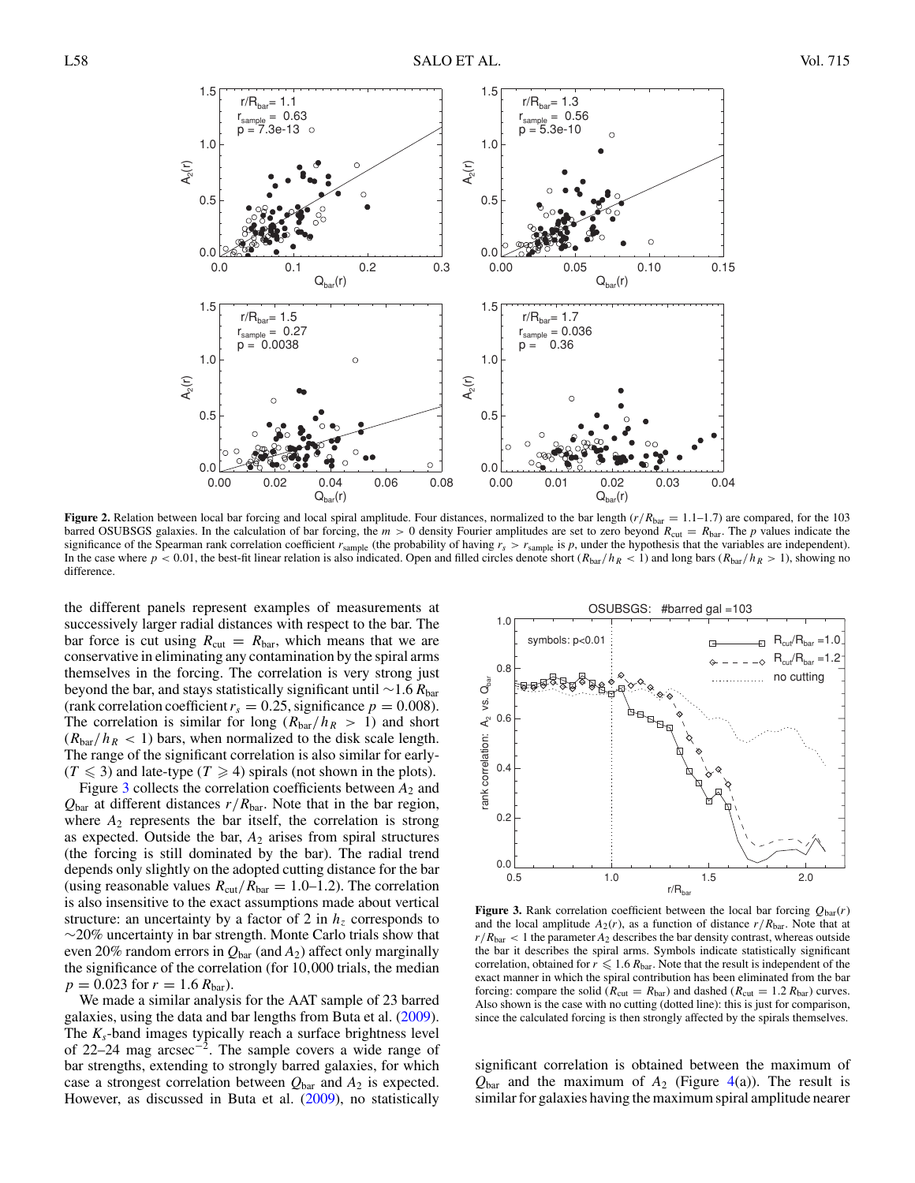<span id="page-2-0"></span>

**Figure 2.** Relation between local bar forcing and local spiral amplitude. Four distances, normalized to the bar length  $(r/R_{bar} = 1.1-1.7)$  are compared, for the 103 barred OSUBSGS galaxies. In the calculation of bar forcing, the  $m > 0$  density Fourier amplitudes are set to zero beyond  $R_{\text{cut}} = R_{\text{bar}}$ . The *p* values indicate the significance of the Spearman rank correlation coefficient  $r_{\rm sample}$  (the probability of having  $r_s > r_{\rm sample}$  is  $p$ , under the hypothesis that the variables are independent). In the case where  $p < 0.01$ , the best-fit linear relation is also indicated. Open and filled circles denote short ( $R_{bar}/h_R < 1$ ) and long bars ( $R_{bar}/h_R > 1$ ), showing no difference.

the different panels represent examples of measurements at successively larger radial distances with respect to the bar. The bar force is cut using  $R_{\text{cut}} = R_{\text{bar}}$ , which means that we are conservative in eliminating any contamination by the spiral arms themselves in the forcing. The correlation is very strong just beyond the bar, and stays statistically significant until ∼1.6 *R*bar (rank correlation coefficient  $r_s = 0.25$ , significance  $p = 0.008$ ). The correlation is similar for long  $(R<sub>bar</sub>/h<sub>R</sub> > 1)$  and short  $(R<sub>bar</sub>/h<sub>R</sub> < 1)$  bars, when normalized to the disk scale length. The range of the significant correlation is also similar for early-  $(T \leq 3)$  and late-type  $(T \geq 4)$  spirals (not shown in the plots).

Figure 3 collects the correlation coefficients between  $A_2$  and  $Q_{\text{bar}}$  at different distances  $r/R_{\text{bar}}$ . Note that in the bar region, where  $A_2$  represents the bar itself, the correlation is strong as expected. Outside the bar,  $A_2$  arises from spiral structures (the forcing is still dominated by the bar). The radial trend depends only slightly on the adopted cutting distance for the bar (using reasonable values  $R_{\text{cut}}/R_{\text{bar}} = 1.0{\text -}1.2$ ). The correlation is also insensitive to the exact assumptions made about vertical structure: an uncertainty by a factor of 2 in  $h<sub>z</sub>$  corresponds to ∼20% uncertainty in bar strength. Monte Carlo trials show that even 20% random errors in  $Q_{bar}$  (and  $A_2$ ) affect only marginally the significance of the correlation (for 10*,*000 trials, the median  $p = 0.023$  for  $r = 1.6 R_{bar}$ .

We made a similar analysis for the AAT sample of 23 barred galaxies, using the data and bar lengths from Buta et al. [\(2009\)](#page-4-0). The *Ks*-band images typically reach a surface brightness level of 22–24 mag arcsec−2. The sample covers a wide range of bar strengths, extending to strongly barred galaxies, for which case a strongest correlation between  $Q_{\text{bar}}$  and  $A_2$  is expected. However, as discussed in Buta et al. [\(2009\)](#page-4-0), no statistically



**Figure 3.** Rank correlation coefficient between the local bar forcing  $Q_{\text{bar}}(r)$ and the local amplitude  $A_2(r)$ , as a function of distance  $r/R_{\text{bar}}$ . Note that at  $r/R_{\text{bar}} < 1$  the parameter  $A_2$  describes the bar density contrast, whereas outside the bar it describes the spiral arms. Symbols indicate statistically significant correlation, obtained for  $r \leqslant 1.6$   $R_{\text{bar}}$ . Note that the result is independent of the exact manner in which the spiral contribution has been eliminated from the bar forcing: compare the solid ( $R_{\text{cut}} = R_{\text{bar}}$ ) and dashed ( $R_{\text{cut}} = 1.2 R_{\text{bar}}$ ) curves. Also shown is the case with no cutting (dotted line): this is just for comparison, since the calculated forcing is then strongly affected by the spirals themselves.

significant correlation is obtained between the maximum of  $Q_{bar}$  and the maximum of  $A_2$  (Figure [4\(](#page-3-0)a)). The result is similar for galaxies having the maximum spiral amplitude nearer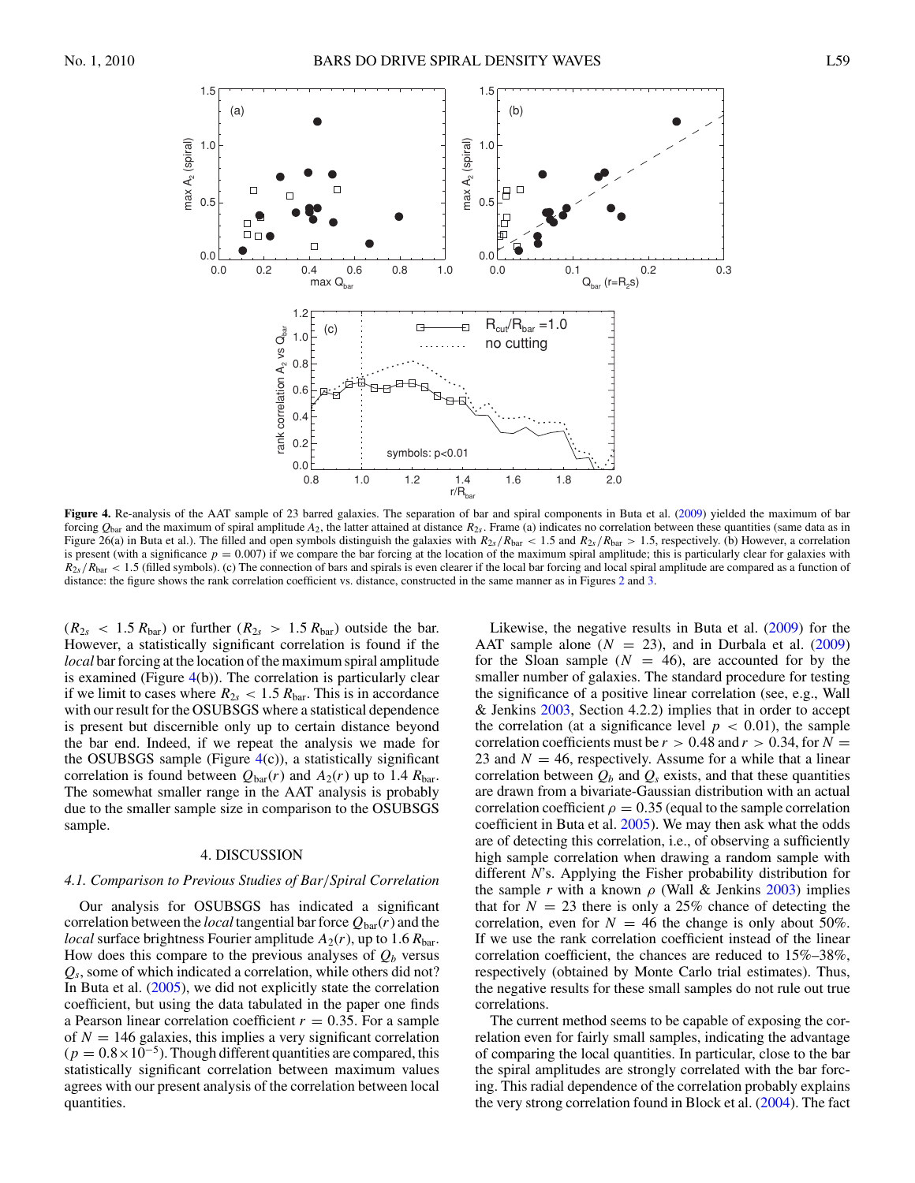<span id="page-3-0"></span>

**Figure 4.** Re-analysis of the AAT sample of 23 barred galaxies. The separation of bar and spiral components in Buta et al. [\(2009\)](#page-4-0) yielded the maximum of bar forcing  $Q_{\text{bar}}$  and the maximum of spiral amplitude  $A_2$ , the latter attained at distance  $R_{2s}$ . Frame (a) indicates no correlation between these quantities (same data as in Figure 26(a) in Buta et al.). The filled and open symbols distinguish the galaxies with  $R_{2s}/R_{bar} < 1.5$  and  $R_{2s}/R_{bar} > 1.5$ , respectively. (b) However, a correlation is present (with a significance  $p = 0.007$ ) if we compare the bar forcing at the location of the maximum spiral amplitude; this is particularly clear for galaxies with  $R_{2s}/R_{bar}$  < 1.5 (filled symbols). (c) The connection of bars and spirals is even clearer if the local bar forcing and local spiral amplitude are compared as a function of distance: the figure shows the rank correlation coefficient vs. distance, constructed in the same manner as in Figures [2](#page-2-0) and [3.](#page-2-0)

 $(R_{2s} < 1.5 R_{bar})$  or further  $(R_{2s} > 1.5 R_{bar})$  outside the bar. However, a statistically significant correlation is found if the *local* bar forcing at the location of the maximum spiral amplitude is examined (Figure 4(b)). The correlation is particularly clear if we limit to cases where  $R_{2s} < 1.5 R_{bar}$ . This is in accordance with our result for the OSUBSGS where a statistical dependence is present but discernible only up to certain distance beyond the bar end. Indeed, if we repeat the analysis we made for the OSUBSGS sample (Figure  $4(c)$ ), a statistically significant correlation is found between  $Q_{bar}(r)$  and  $A_2(r)$  up to 1.4  $R_{bar}$ . The somewhat smaller range in the AAT analysis is probably due to the smaller sample size in comparison to the OSUBSGS sample.

### 4. DISCUSSION

#### *4.1. Comparison to Previous Studies of Bar/Spiral Correlation*

Our analysis for OSUBSGS has indicated a significant correlation between the *local* tangential bar force  $Q_{bar}(r)$  and the *local* surface brightness Fourier amplitude  $A_2(r)$ , up to 1.6  $R_{bar}$ . How does this compare to the previous analyses of  $Q_b$  versus *Qs*, some of which indicated a correlation, while others did not? In Buta et al. [\(2005\)](#page-4-0), we did not explicitly state the correlation coefficient, but using the data tabulated in the paper one finds a Pearson linear correlation coefficient  $r = 0.35$ . For a sample of  $N = 146$  galaxies, this implies a very significant correlation  $(p = 0.8 \times 10^{-5})$ . Though different quantities are compared, this statistically significant correlation between maximum values agrees with our present analysis of the correlation between local quantities.

Likewise, the negative results in Buta et al. [\(2009\)](#page-4-0) for the AAT sample alone  $(N = 23)$ , and in Durbala et al.  $(2009)$ for the Sloan sample  $(N = 46)$ , are accounted for by the smaller number of galaxies. The standard procedure for testing the significance of a positive linear correlation (see, e.g., Wall & Jenkins [2003,](#page-5-0) Section 4.2.2) implies that in order to accept the correlation (at a significance level  $p < 0.01$ ), the sample correlation coefficients must be  $r > 0.48$  and  $r > 0.34$ , for  $N =$ 23 and  $N = 46$ , respectively. Assume for a while that a linear correlation between  $Q_b$  and  $Q_s$  exists, and that these quantities are drawn from a bivariate-Gaussian distribution with an actual correlation coefficient  $\rho = 0.35$  (equal to the sample correlation coefficient in Buta et al. [2005\)](#page-4-0). We may then ask what the odds are of detecting this correlation, i.e., of observing a sufficiently high sample correlation when drawing a random sample with different *N*'s. Applying the Fisher probability distribution for the sample *r* with a known  $\rho$  (Wall & Jenkins [2003\)](#page-5-0) implies that for  $N = 23$  there is only a 25% chance of detecting the correlation, even for  $N = 46$  the change is only about 50%. If we use the rank correlation coefficient instead of the linear correlation coefficient, the chances are reduced to 15%–38%, respectively (obtained by Monte Carlo trial estimates). Thus, the negative results for these small samples do not rule out true correlations.

The current method seems to be capable of exposing the correlation even for fairly small samples, indicating the advantage of comparing the local quantities. In particular, close to the bar the spiral amplitudes are strongly correlated with the bar forcing. This radial dependence of the correlation probably explains the very strong correlation found in Block et al. [\(2004\)](#page-4-0). The fact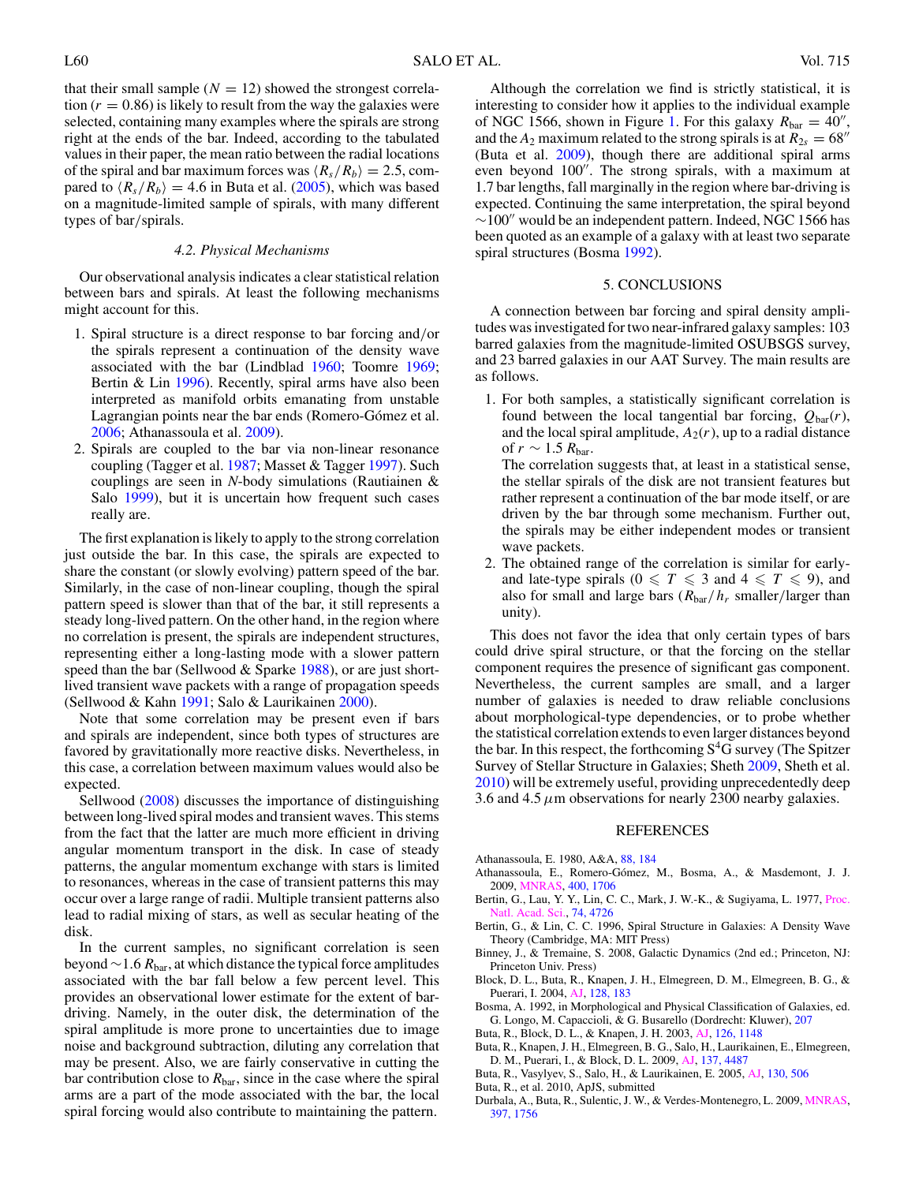<span id="page-4-0"></span>that their small sample  $(N = 12)$  showed the strongest correlation  $(r = 0.86)$  is likely to result from the way the galaxies were selected, containing many examples where the spirals are strong right at the ends of the bar. Indeed, according to the tabulated values in their paper, the mean ratio between the radial locations of the spiral and bar maximum forces was  $\langle R_s/R_b \rangle = 2.5$ , compared to  $\langle R_s/R_b \rangle = 4.6$  in Buta et al. (2005), which was based on a magnitude-limited sample of spirals, with many different types of bar*/*spirals.

#### *4.2. Physical Mechanisms*

Our observational analysis indicates a clear statistical relation between bars and spirals. At least the following mechanisms might account for this.

- 1. Spiral structure is a direct response to bar forcing and*/*or the spirals represent a continuation of the density wave associated with the bar (Lindblad [1960;](#page-5-0) Toomre [1969;](#page-5-0) Bertin & Lin 1996). Recently, spiral arms have also been interpreted as manifold orbits emanating from unstable Lagrangian points near the bar ends (Romero-Gómez et al. [2006;](#page-5-0) Athanassoula et al. 2009).
- 2. Spirals are coupled to the bar via non-linear resonance coupling (Tagger et al. [1987;](#page-5-0) Masset & Tagger [1997\)](#page-5-0). Such couplings are seen in *N*-body simulations (Rautiainen & Salo [1999\)](#page-5-0), but it is uncertain how frequent such cases really are.

The first explanation is likely to apply to the strong correlation just outside the bar. In this case, the spirals are expected to share the constant (or slowly evolving) pattern speed of the bar. Similarly, in the case of non-linear coupling, though the spiral pattern speed is slower than that of the bar, it still represents a steady long-lived pattern. On the other hand, in the region where no correlation is present, the spirals are independent structures, representing either a long-lasting mode with a slower pattern speed than the bar (Sellwood & Sparke [1988\)](#page-5-0), or are just shortlived transient wave packets with a range of propagation speeds (Sellwood & Kahn [1991;](#page-5-0) Salo & Laurikainen [2000\)](#page-5-0).

Note that some correlation may be present even if bars and spirals are independent, since both types of structures are favored by gravitationally more reactive disks. Nevertheless, in this case, a correlation between maximum values would also be expected.

Sellwood [\(2008\)](#page-5-0) discusses the importance of distinguishing between long-lived spiral modes and transient waves. This stems from the fact that the latter are much more efficient in driving angular momentum transport in the disk. In case of steady patterns, the angular momentum exchange with stars is limited to resonances, whereas in the case of transient patterns this may occur over a large range of radii. Multiple transient patterns also lead to radial mixing of stars, as well as secular heating of the disk.

In the current samples, no significant correlation is seen beyond ∼1*.*6 *R*bar, at which distance the typical force amplitudes associated with the bar fall below a few percent level. This provides an observational lower estimate for the extent of bardriving. Namely, in the outer disk, the determination of the spiral amplitude is more prone to uncertainties due to image noise and background subtraction, diluting any correlation that may be present. Also, we are fairly conservative in cutting the bar contribution close to  $R_{\text{bar}}$ , since in the case where the spiral arms are a part of the mode associated with the bar, the local spiral forcing would also contribute to maintaining the pattern.

Although the correlation we find is strictly statistical, it is interesting to consider how it applies to the individual example of NGC 1566, shown in Figure [1.](#page-1-0) For this galaxy  $R_{bar} = 40''$ , and the  $A_2$  maximum related to the strong spirals is at  $R_{2s} = 68''$ (Buta et al. 2009), though there are additional spiral arms even beyond 100". The strong spirals, with a maximum at 1.7 bar lengths, fall marginally in the region where bar-driving is expected. Continuing the same interpretation, the spiral beyond  $\sim$ 100" would be an independent pattern. Indeed, NGC 1566 has been quoted as an example of a galaxy with at least two separate spiral structures (Bosma 1992).

#### 5. CONCLUSIONS

A connection between bar forcing and spiral density amplitudes was investigated for two near-infrared galaxy samples: 103 barred galaxies from the magnitude-limited OSUBSGS survey, and 23 barred galaxies in our AAT Survey. The main results are as follows.

1. For both samples, a statistically significant correlation is found between the local tangential bar forcing,  $Q_{\text{bar}}(r)$ , and the local spiral amplitude,  $A_2(r)$ , up to a radial distance of  $r \sim 1.5 R_{\text{bar}}$ .

The correlation suggests that, at least in a statistical sense, the stellar spirals of the disk are not transient features but rather represent a continuation of the bar mode itself, or are driven by the bar through some mechanism. Further out, the spirals may be either independent modes or transient wave packets.

2. The obtained range of the correlation is similar for earlyand late-type spirals ( $0 \leq T \leq 3$  and  $4 \leq T \leq 9$ ), and also for small and large bars (*R*bar*/hr* smaller*/*larger than unity).

This does not favor the idea that only certain types of bars could drive spiral structure, or that the forcing on the stellar component requires the presence of significant gas component. Nevertheless, the current samples are small, and a larger number of galaxies is needed to draw reliable conclusions about morphological-type dependencies, or to probe whether the statistical correlation extends to even larger distances beyond the bar. In this respect, the forthcoming  $S<sup>4</sup>G$  survey (The Spitzer Survey of Stellar Structure in Galaxies; Sheth [2009,](#page-5-0) Sheth et al. [2010\)](#page-5-0) will be extremely useful, providing unprecedentedly deep 3.6 and 4.5  $\mu$ m observations for nearly 2300 nearby galaxies.

#### REFERENCES

- Athanassoula, E. 1980, A&A, [88, 184](http://adsabs.harvard.edu/abs/1980A&A....88..184A)
- Athanassoula, E., Romero-Gómez, M., Bosma, A., & Masdemont, J. J. 2009, [MNRAS,](http://dx.doi.org/10.1111/j.1365-2966.2009.15583.x) [400, 1706](http://adsabs.harvard.edu/abs/2009MNRAS.400.1706A)
- Bertin, G., Lau, Y. Y., Lin, C. C., Mark, J. W.-K., & Sugiyama, L. 1977, [Proc.](http://dx.doi.org/10.1073/pnas.74.11.4726) Sci., [74, 4726](http://adsabs.harvard.edu/abs/1977PNAS...74.4726B)
- Bertin, G., & Lin, C. C. 1996, Spiral Structure in Galaxies: A Density Wave Theory (Cambridge, MA: MIT Press)
- Binney, J., & Tremaine, S. 2008, Galactic Dynamics (2nd ed.; Princeton, NJ: Princeton Univ. Press)
- Block, D. L., Buta, R., Knapen, J. H., Elmegreen, D. M., Elmegreen, B. G., & Puerari, I. 2004, [AJ,](http://dx.doi.org/10.1086/421362) [128, 183](http://adsabs.harvard.edu/abs/2004AJ....128..183B)
- Bosma, A. 1992, in Morphological and Physical Classification of Galaxies, ed. G. Longo, M. Capaccioli, & G. Busarello (Dordrecht: Kluwer), [207](http://adsabs.harvard.edu/abs/1992ASSL..178..207B)
- Buta, R., Block, D. L., & Knapen, J. H. 2003, [AJ,](http://dx.doi.org/10.1086/377316) [126, 1148](http://adsabs.harvard.edu/abs/2003AJ....126.1148B)
- Buta, R., Knapen, J. H., Elmegreen, B. G., Salo, H., Laurikainen, E., Elmegreen, D. M., Puerari, I., & Block, D. L. 2009, [AJ,](http://dx.doi.org/10.1088/0004-6256/137/5/4487) [137, 4487](http://adsabs.harvard.edu/abs/2009AJ....137.4487B)
- Buta, R., Vasylyev, S., Salo, H., & Laurikainen, E. 2005, [AJ,](http://dx.doi.org/10.1086/431251) [130, 506](http://adsabs.harvard.edu/abs/2005AJ....130..506B)
- Buta, R., et al. 2010, ApJS, submitted
- Durbala, A., Buta, R., Sulentic, J. W., & Verdes-Montenegro, L. 2009, [MNRAS,](http://dx.doi.org/10.1111/j.1365-2966.2009.15051.x) [397, 1756](http://adsabs.harvard.edu/abs/2009MNRAS.397.1756D)